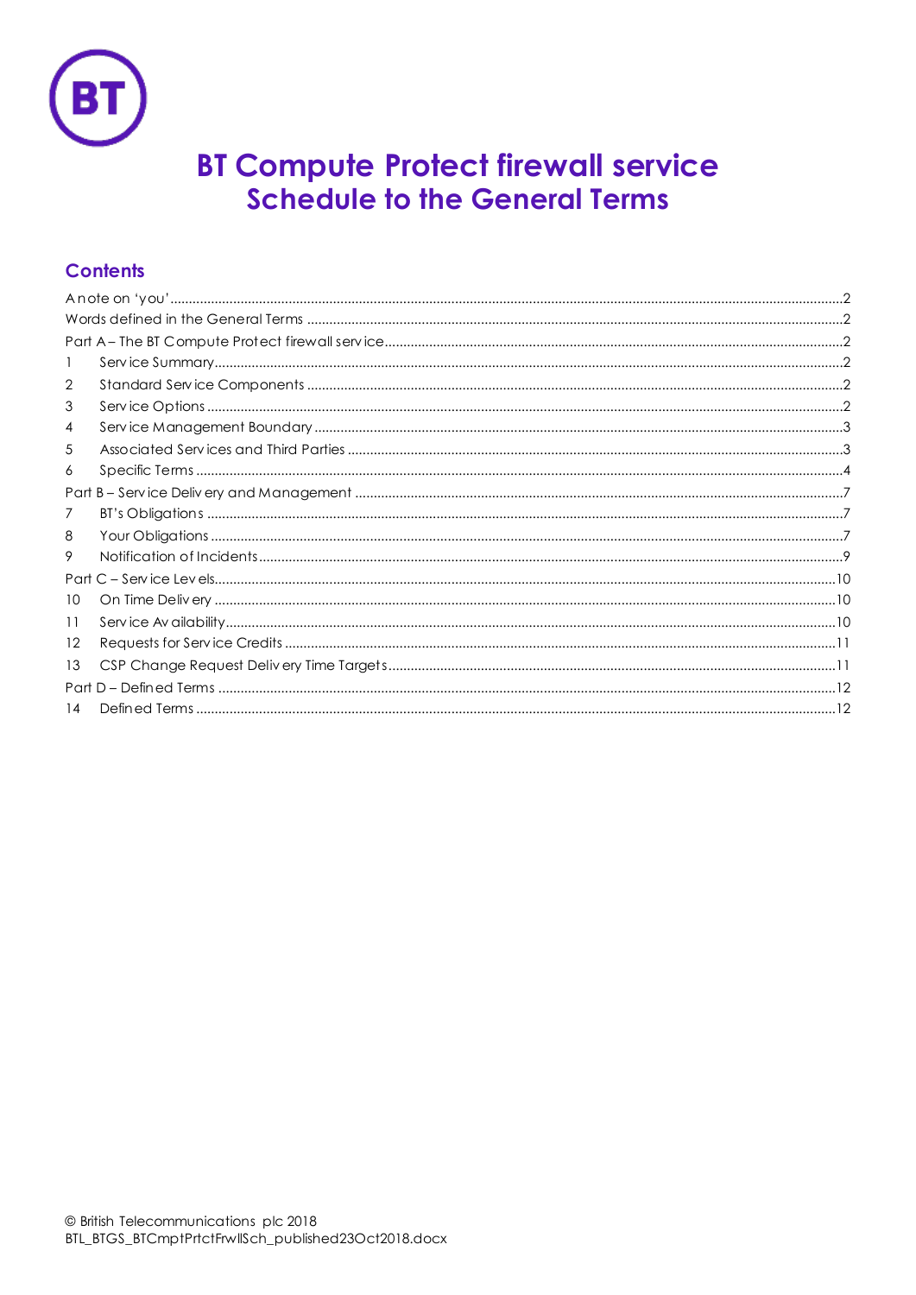

# **BT Compute Protect firewall service Schedule to the General Terms**

# **Contents**

| 2    |  |  |  |  |
|------|--|--|--|--|
| 3    |  |  |  |  |
| 4    |  |  |  |  |
| 5    |  |  |  |  |
| 6    |  |  |  |  |
|      |  |  |  |  |
| 7    |  |  |  |  |
| 8    |  |  |  |  |
| 9    |  |  |  |  |
|      |  |  |  |  |
| 10   |  |  |  |  |
| 11   |  |  |  |  |
| 12   |  |  |  |  |
| 13   |  |  |  |  |
| Part |  |  |  |  |
| 14   |  |  |  |  |
|      |  |  |  |  |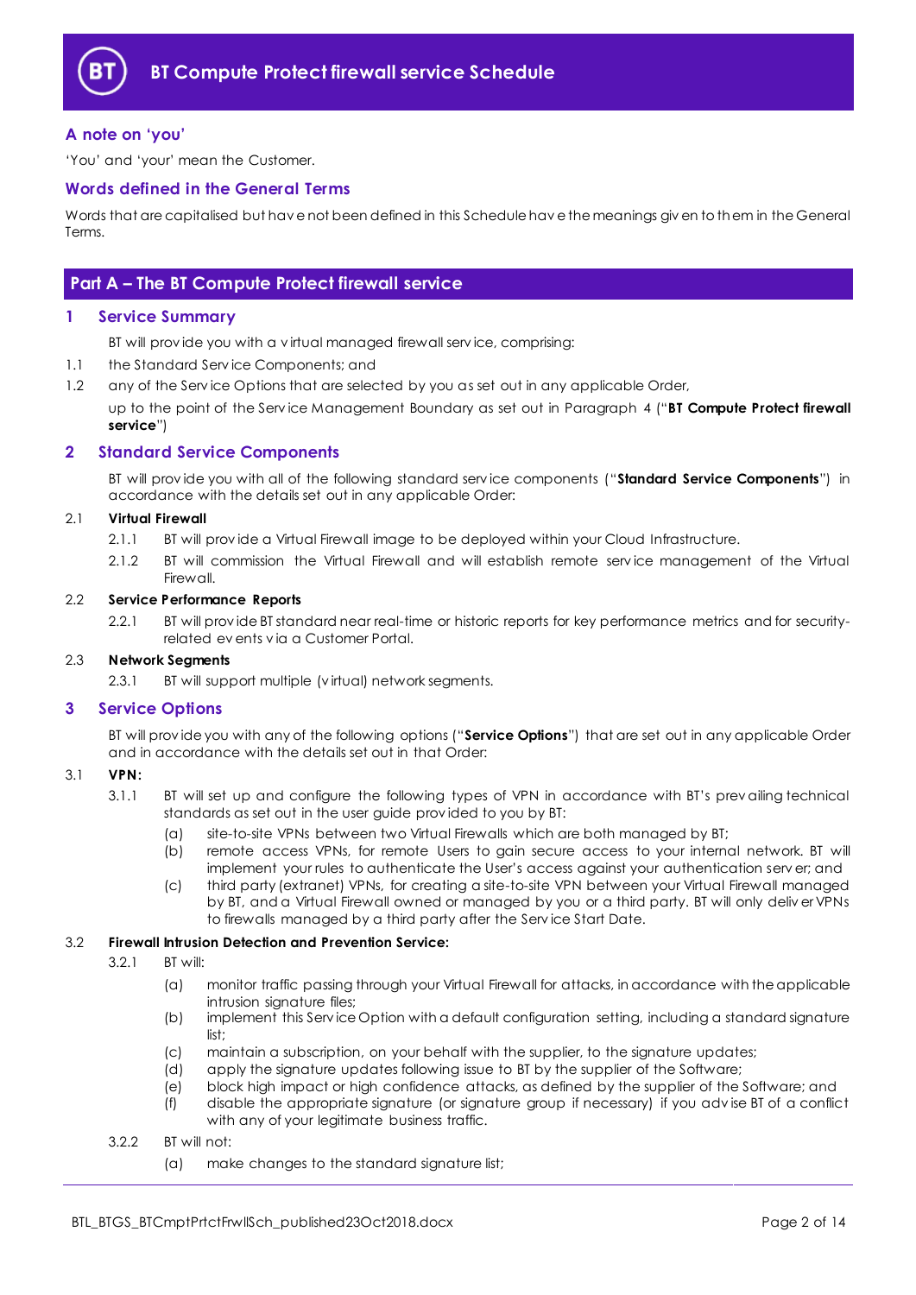

## <span id="page-1-0"></span>**A note on 'you'**

'You' and 'your' mean the Customer.

#### <span id="page-1-1"></span>**Words defined in the General Terms**

Words that are capitalised but hav e not been defined in this Schedule hav e the meanings giv en to them in the General Terms.

# <span id="page-1-2"></span>**Part A – The BT Compute Protect firewall service**

#### <span id="page-1-3"></span>**1 Service Summary**

BT will prov ide you with a v irtual managed firewall serv ice, comprising:

- 1.1 the Standard Serv ice Components; and
- 1.2 any of the Service Options that are selected by you as set out in any applicable Order,

up to the point of the Serv ice Management Boundary as set out in Paragraph [4](#page-2-0) ("**BT Compute Protect firewall service**")

#### <span id="page-1-4"></span>**2 Standard Service Components**

BT will prov ide you with all of the following standard serv ice components ("**Standard Service Components**") in accordance with the details set out in any applicable Order:

#### 2.1 **Virtual Firewall**

- 2.1.1 BT will prov ide a Virtual Firewall image to be deployed within your Cloud Infrastructure.
- 2.1.2 BT will commission the Virtual Firewall and will establish remote serv ice management of the Virtual **Firewall**

#### <span id="page-1-6"></span>2.2 **Service Performance Reports**

2.2.1 BT will prov ide BT standard near real-time or historic reports for key performance metrics and for securityrelated ev ents v ia a Customer Portal.

#### 2.3 **Network Segments**

2.3.1 BT will support multiple (v irtual) network segments.

#### <span id="page-1-5"></span>**3 Service Options**

BT will prov ide you with any of the following options ("**Service Options**") that are set out in any applicable Order and in accordance with the details set out in that Order:

#### <span id="page-1-7"></span>3.1 **VPN:**

- 3.1.1 BT will set up and configure the following types of VPN in accordance with BT's prev ailing technical standards as set out in the user guide prov ided to you by BT:
	- (a) site-to-site VPNs between two Virtual Firewalls which are both managed by BT;
	- (b) remote access VPNs, for remote Users to gain secure access to your internal network. BT will implement your rules to authenticate the User's access against your authentication serv er; and
	- (c) third party (extranet) VPNs, for creating a site-to-site VPN between your Virtual Firewall managed by BT, and a Virtual Firewall owned or managed by you or a third party. BT will only deliv er VPNs to firewalls managed by a third party after the Serv ice Start Date.

#### 3.2 **Firewall Intrusion Detection and Prevention Service:**

- 3.2.1 BT will:
	- (a) monitor traffic passing through your Virtual Firewall for attacks, in accordance with the applicable intrusion signature files;
	- (b) implement this Serv ice Option with a default configuration setting, including a standard signature list;
	- (c) maintain a subscription, on your behalf with the supplier, to the signature updates;
	- (d) apply the signature updates following issue to BT by the supplier of the Software;
	- (e) block high impact or high confidence attacks, as defined by the supplier of the Software; and
	- (f) disable the appropriate signature (or signature group if necessary) if you adv ise BT of a conflict with any of your legitimate business traffic.

#### 3.2.2 BT will not:

(a) make changes to the standard signature list;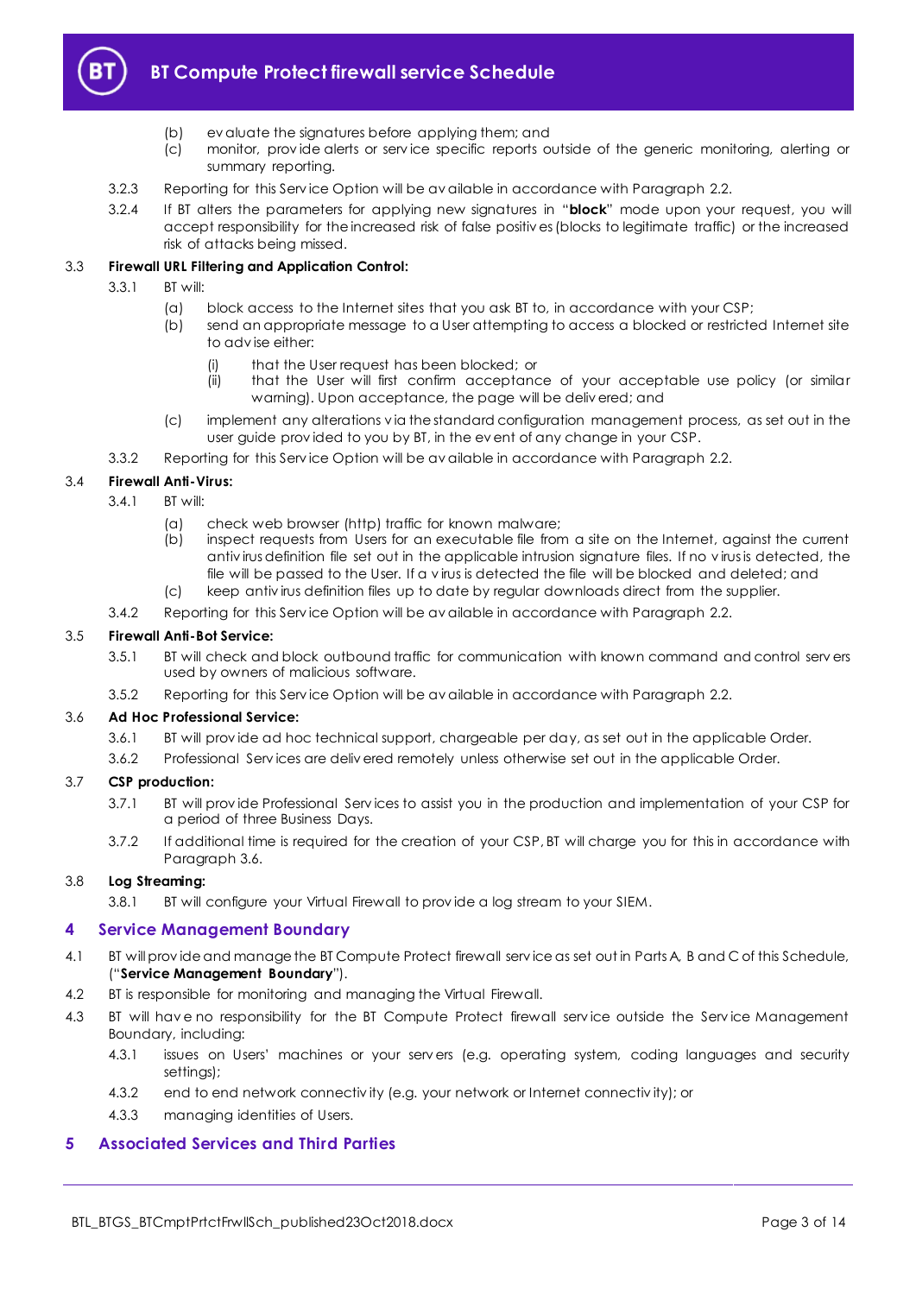

# **BT Compute Protect firewall service Schedule**

- (b) ev aluate the signatures before applying them; and
- (c) monitor, prov ide alerts or serv ice specific reports outside of the generic monitoring, alerting or summary reporting.
- 3.2.3 Reporting for this Serv ice Option will be av ailable in accordance with Paragrap[h 2.2.](#page-1-6)
- 3.2.4 If BT alters the parameters for applying new signatures in "**block**" mode upon your request, you will accept responsibility for the increased risk of false positiv es (blocks to legitimate traffic) or the increased risk of attacks being missed.

#### 3.3 **Firewall URL Filtering and Application Control:**

- 3.3.1 BT will:
	- (a) block access to the Internet sites that you ask BT to, in accordance with your CSP;
	- (b) send an appropriate message to a User attempting to access a blocked or restricted Internet site to adv ise either:
		- (i) that the User request has been blocked; or
		- (ii) that the User will first confirm acceptance of your acceptable use policy (or similar warning). Upon acceptance, the page will be deliv ered; and
	- (c) implement any alterations v ia the standard configuration management process, as set out in the user guide prov ided to you by BT, in the ev ent of any change in your CSP.
- 3.3.2 Reporting for this Serv ice Option will be av ailable in accordance with Paragrap[h 2.2.](#page-1-6)

#### 3.4 **Firewall Anti-Virus:**

- 3.4.1 BT will:
	- (a) check web browser (http) traffic for known malware;
	- (b) inspect requests from Users for an executable file from a site on the Internet, against the current antiv irus definition file set out in the applicable intrusion signature files. If no v irus is detected, the file will be passed to the User. If a v irus is detected the file will be blocked and deleted; and
	- (c) keep antiv irus definition files up to date by regular downloads direct from the supplier.
- 3.4.2 Reporting for this Serv ice Option will be av ailable in accordance with Paragrap[h 2.2.](#page-1-6)

#### 3.5 **Firewall Anti-Bot Service:**

- 3.5.1 BT will check and block outbound traffic for communication with known command and control serv ers used by owners of malicious software.
- 3.5.2 Reporting for this Serv ice Option will be av ailable in accordance with Paragrap[h 2.2.](#page-1-6)

#### <span id="page-2-2"></span>3.6 **Ad Hoc Professional Service:**

- 3.6.1 BT will prov ide ad hoc technical support, chargeable per day, as set out in the applicable Order.
- 3.6.2 Professional Serv ices are deliv ered remotely unless otherwise set out in the applicable Order.

#### <span id="page-2-3"></span>3.7 **CSP production:**

- 3.7.1 BT will prov ide Professional Serv ices to assist you in the production and implementation of your CSP for a period of three Business Days.
- 3.7.2 If additional time is required for the creation of your CSP, BT will charge you for this in accordance with Paragrap[h 3.6.](#page-2-2)

#### 3.8 **Log Streaming:**

3.8.1 BT will configure your Virtual Firewall to prov ide a log stream to your SIEM.

#### <span id="page-2-0"></span>**4 Service Management Boundary**

- 4.1 BT will prov ide and manage the BT Compute Protect firewall serv ice as set out in Parts A, B and C of this Schedule, ("**Service Management Boundary**").
- 4.2 BT is responsible for monitoring and managing the Virtual Firewall.
- 4.3 BT will have no responsibility for the BT Compute Protect firewall service outside the Service Management Boundary, including:
	- 4.3.1 issues on Users' machines or your serv ers (e.g. operating system, coding languages and security settings);
	- 4.3.2 end to end network connectiv ity (e.g. your network or Internet connectiv ity); or
	- 4.3.3 managing identities of Users.

#### <span id="page-2-1"></span>**5 Associated Services and Third Parties**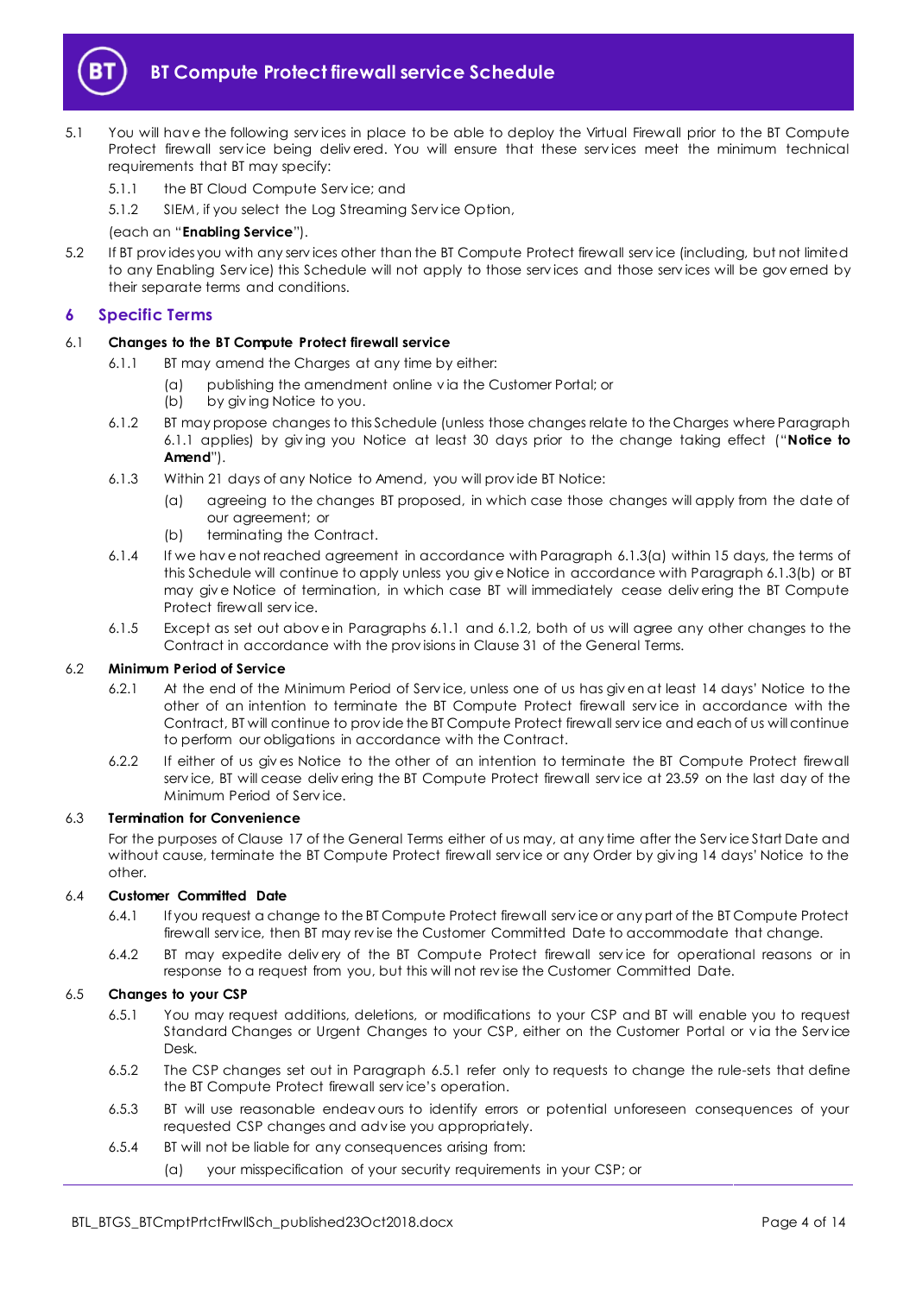

- <span id="page-3-8"></span>5.1 You will hav e the following serv ices in place to be able to deploy the Virtual Firewall prior to the BT Compute Protect firewall service being delivered. You will ensure that these services meet the minimum technical requirements that BT may specify:
	- 5.1.1 the BT Cloud Compute Serv ice; and

5.1.2 SIEM, if you select the Log Streaming Serv ice Option,

#### (each an "**Enabling Service**").

5.2 If BT prov ides you with any serv ices other than the BT Compute Protect firewall serv ice (including, but not limited to any Enabling Serv ice) this Schedule will not apply to those serv ices and those serv ices will be gov erned by their separate terms and conditions.

#### <span id="page-3-0"></span>**6 Specific Terms**

#### <span id="page-3-1"></span>6.1 **Changes to the BT Compute Protect firewall service**

- 6.1.1 BT may amend the Charges at any time by either:
	- (a) publishing the amendment online v ia the Customer Portal; or
		- (b) by giv ing Notice to you.
- <span id="page-3-4"></span>6.1.2 BT may propose changes to this Schedule (unless those changes relate to the Charges where Paragraph [6.1.1](#page-3-1) applies) by giv ing you Notice at least 30 days prior to the change taking effect ("**Notice to Amend**").
- <span id="page-3-2"></span>6.1.3 Within 21 days of any Notice to Amend, you will prov ide BT Notice:
	- (a) agreeing to the changes BT proposed, in which case those changes will apply from the date of our agreement; or
	- (b) terminating the Contract.
- <span id="page-3-3"></span>6.1.4 If we hav e not reached agreement in accordance with Paragraph [6.1.3\(a\)](#page-3-2) within 15 days, the terms of this Schedule will continue to apply unless you giv e Notice in accordance with Paragrap[h 6.1.3\(b\)](#page-3-3) or BT may giv e Notice of termination, in which case BT will immediately cease deliv ering the BT Compute Protect firewall serv ice.
- 6.1.5 Except as set out above in Paragraphs [6.1.1](#page-3-1) and [6.1.2,](#page-3-4) both of us will agree any other changes to the Contract in accordance with the prov isions in Clause 31 of the General Terms.

#### 6.2 **Minimum Period of Service**

- 6.2.1 At the end of the Minimum Period of Serv ice, unless one of us has giv en at least 14 days' Notice to the other of an intention to terminate the BT Compute Protect firewall serv ice in accordance with the Contract, BT will continue to prov ide the BT Compute Protect firewall serv ice and each of us will continue to perform our obligations in accordance with the Contract.
- 6.2.2 If either of us giv es Notice to the other of an intention to terminate the BT Compute Protect firewall serv ice, BT will cease deliv ering the BT Compute Protect firewall serv ice at 23.59 on the last day of the Minimum Period of Serv ice.

#### 6.3 **Termination for Convenience**

For the purposes of Clause 17 of the General Terms either of us may, at any time after the Serv ice Start Date and without cause, terminate the BT Compute Protect firewall serv ice or any Order by giv ing 14 days' Notice to the other.

#### <span id="page-3-7"></span>6.4 **Customer Committed Date**

- 6.4.1 If you request a change to the BT Compute Protect firewall serv ice or any part of the BT Compute Protect firewall serv ice, then BT may rev ise the Customer Committed Date to accommodate that change.
- 6.4.2 BT may expedite deliv ery of the BT Compute Protect firewall serv ice for operational reasons or in response to a request from you, but this will not rev ise the Customer Committed Date.

#### <span id="page-3-6"></span><span id="page-3-5"></span>6.5 **Changes to your CSP**

- 6.5.1 You may request additions, deletions, or modifications to your CSP and BT will enable you to request Standard Changes or Urgent Changes to your CSP, either on the Customer Portal or v ia the Serv ice Desk.
- 6.5.2 The CSP changes set out in Paragraph [6.5.1](#page-3-5) refer only to requests to change the rule-sets that define the BT Compute Protect firewall serv ice's operation.
- 6.5.3 BT will use reasonable endeav ours to identify errors or potential unforeseen consequences of your requested CSP changes and adv ise you appropriately.
- 6.5.4 BT will not be liable for any consequences arising from:
	- (a) your misspecification of your security requirements in your CSP; or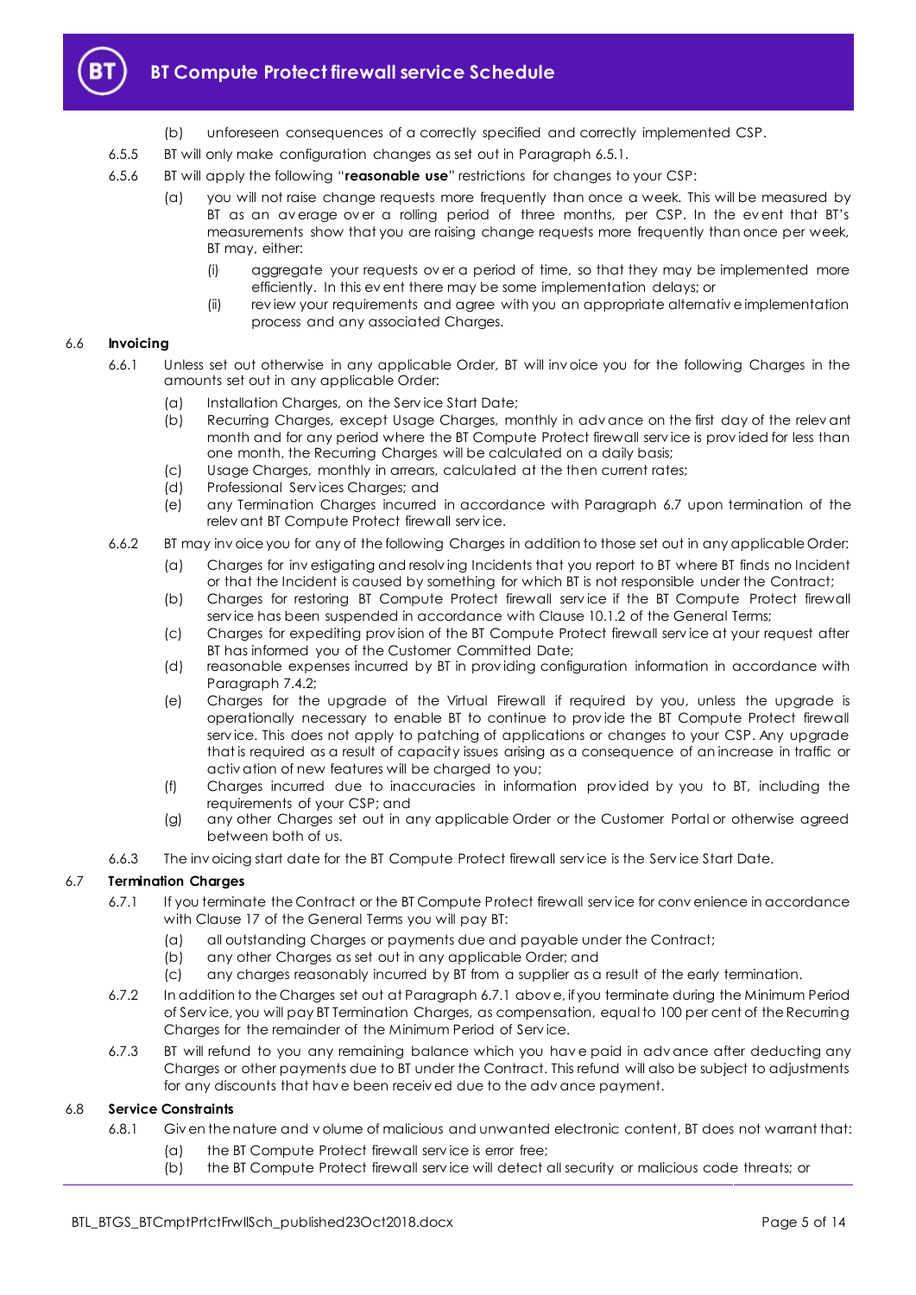

- (b) unforeseen consequences of a correctly specified and correctly implemented CSP.
- 6.5.5 BT will only make configuration changes as set out in Paragrap[h 6.5.1.](#page-3-5)
- 6.5.6 BT will apply the following "**reasonable use**" restrictions for changes to your CSP:
	- (a) you will not raise change requests more frequently than once a week. This will be measured by BT as an average over a rolling period of three months, per CSP. In the event that BT's measurements show that you are raising change requests more frequently than once per week, BT may, either:
		- (i) aggregate your requests ov er a period of time, so that they may be implemented more efficiently. In this ev ent there may be some implementation delays; or
		- (ii) rev iew your requirements and agree with you an appropriate alternativ e implementation process and any associated Charges.

#### 6.6 **Invoicing**

- 6.6.1 Unless set out otherwise in any applicable Order, BT will inv oice you for the following Charges in the amounts set out in any applicable Order:
	- (a) Installation Charges, on the Serv ice Start Date;
	- (b) Recurring Charges, except Usage Charges, monthly in adv ance on the first day of the relev ant month and for any period where the BT Compute Protect firewall serv ice is prov ided for less than one month, the Recurring Charges will be calculated on a daily basis;
	- (c) Usage Charges, monthly in arrears, calculated at the then current rates;
	- (d) Professional Serv ices Charges; and
	- (e) any Termination Charges incurred in accordance with Paragraph [6.7](#page-4-0) upon termination of the relev ant BT Compute Protect firewall serv ice.
- 6.6.2 BT may inv oice you for any of the following Charges in addition to those set out in any applicable Order:
	- (a) Charges for inv estigating and resolv ing Incidents that you report to BT where BT finds no Incident or that the Incident is caused by something for which BT is not responsible under the Contract;
	- (b) Charges for restoring BT Compute Protect firewall serv ice if the BT Compute Protect firewall serv ice has been suspended in accordance with Clause 10.1.2 of the General Terms;
	- (c) Charges for expediting prov ision of the BT Compute Protect firewall serv ice at your request after BT has informed you of the Customer Committed Date;
	- (d) reasonable expenses incurred by BT in prov iding configuration information in accordance with Paragraph [7.4.2;](#page-6-3)
	- (e) Charges for the upgrade of the Virtual Firewall if required by you, unless the upgrade is operationally necessary to enable BT to continue to prov ide the BT Compute Protect firewall serv ice. This does not apply to patching of applications or changes to your CSP. Any upgrade that is required as a result of capacity issues arising as a consequence of an increase in traffic or activ ation of new features will be charged to you;
	- (f) Charges incurred due to inaccuracies in information prov ided by you to BT, including the requirements of your CSP; and
	- (g) any other Charges set out in any applicable Order or the Customer Portal or otherwise agreed between both of us.
- 6.6.3 The inv oicing start date for the BT Compute Protect firewall serv ice is the Serv ice Start Date.

#### <span id="page-4-1"></span><span id="page-4-0"></span>6.7 **Termination Charges**

- 6.7.1 If you terminate the Contract or the BT Compute Protect firewall serv ice for conv enience in accordance with Clause 17 of the General Terms you will pay BT:
	- (a) all outstanding Charges or payments due and payable under the Contract;
	- (b) any other Charges as set out in any applicable Order; and
	- (c) any charges reasonably incurred by BT from a supplier as a result of the early termination.
- 6.7.2 In addition to the Charges set out at Paragrap[h 6.7.1](#page-4-1) abov e, if you terminate during the Minimum Period of Serv ice, you will pay BT Termination Charges, as compensation, equal to 100 per cent of the Recurring Charges for the remainder of the Minimum Period of Serv ice.
- 6.7.3 BT will refund to you any remaining balance which you hav e paid in adv ance after deducting any Charges or other payments due to BT under the Contract. This refund will also be subject to adjustments for any discounts that hav e been receiv ed due to the adv ance payment.

#### 6.8 **Service Constraints**

- 6.8.1 Giv en the nature and v olume of malicious and unwanted electronic content, BT does not warrant that:
	- (a) the BT Compute Protect firewall serv ice is error free;
	- (b) the BT Compute Protect firewall serv ice will detect all security or malicious code threats; or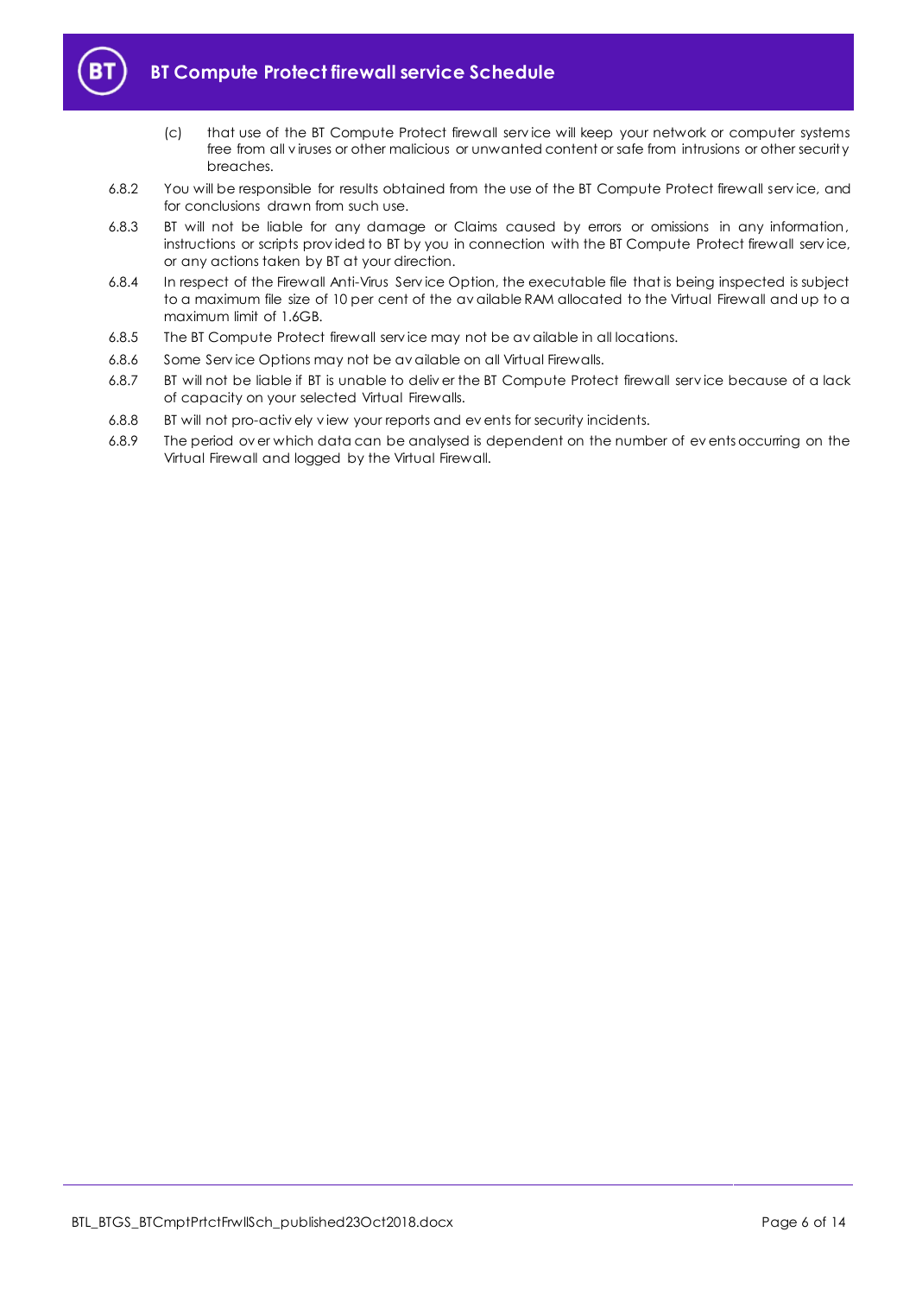

# **BT Compute Protect firewall service Schedule**

- (c) that use of the BT Compute Protect firewall serv ice will keep your network or computer systems free from all v iruses or other malicious or unwanted content or safe from intrusions or other security breaches.
- 6.8.2 You will be responsible for results obtained from the use of the BT Compute Protect firewall serv ice, and for conclusions drawn from such use.
- 6.8.3 BT will not be liable for any damage or Claims caused by errors or omissions in any information, instructions or scripts prov ided to BT by you in connection with the BT Compute Protect firewall serv ice, or any actions taken by BT at your direction.
- 6.8.4 In respect of the Firewall Anti-Virus Serv ice Option, the executable file that is being inspected is subject to a maximum file size of 10 per cent of the av ailable RAM allocated to the Virtual Firewall and up to a maximum limit of 1.6GB.
- 6.8.5 The BT Compute Protect firewall serv ice may not be av ailable in all locations.
- 6.8.6 Some Serv ice Options may not be av ailable on all Virtual Firewalls.
- 6.8.7 BT will not be liable if BT is unable to deliv er the BT Compute Protect firewall serv ice because of a lack of capacity on your selected Virtual Firewalls.
- 6.8.8 BT will not pro-activ ely v iew your reports and ev ents for security incidents.
- 6.8.9 The period ov er which data can be analysed is dependent on the number of ev ents occurring on the Virtual Firewall and logged by the Virtual Firewall.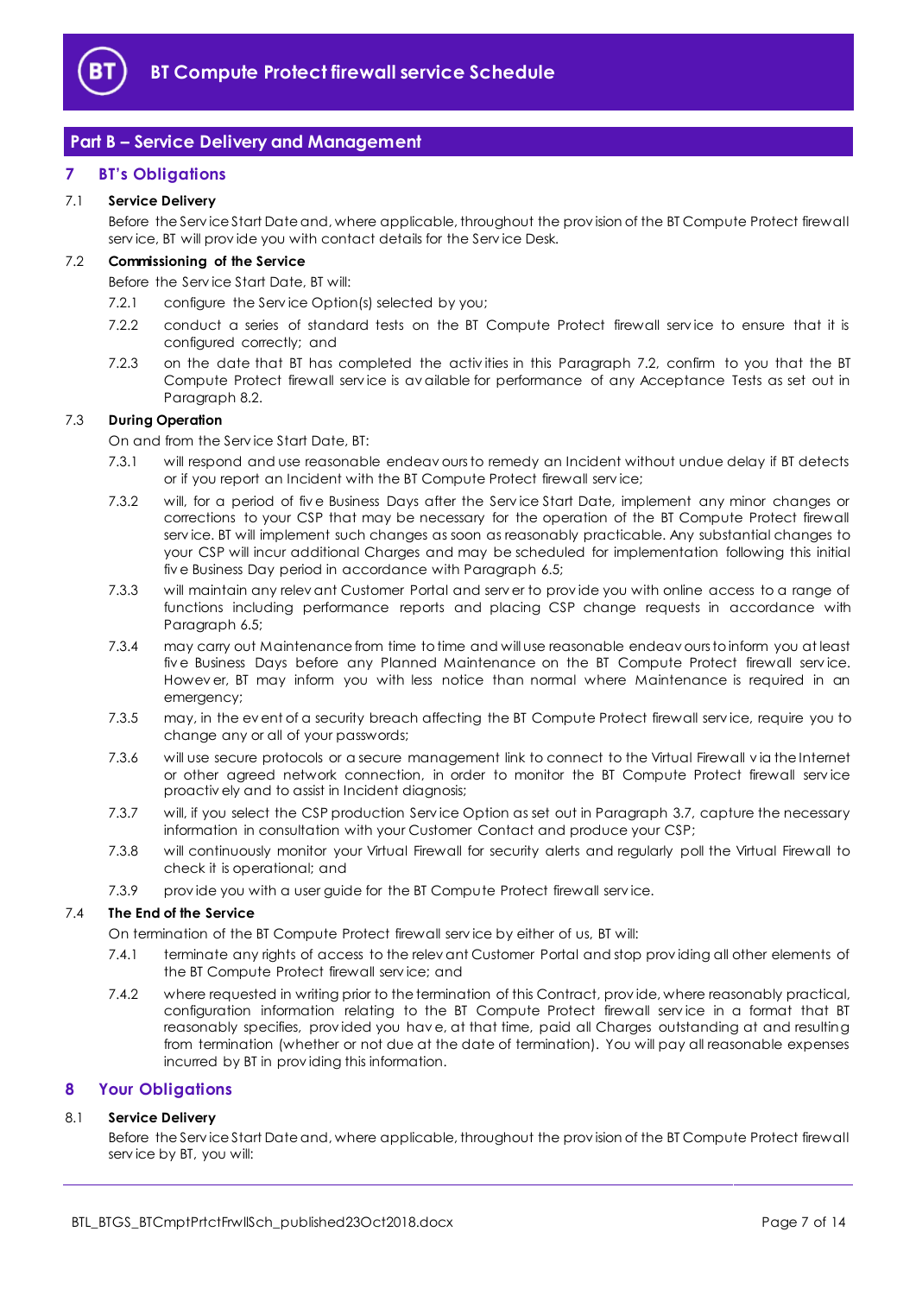

# <span id="page-6-0"></span>**Part B – Service Delivery and Management**

## <span id="page-6-1"></span>**7 BT's Obligations**

## 7.1 **Service Delivery**

Before the Serv ice Start Date and, where applicable, throughout the prov ision of the BT Compute Protect firewall serv ice, BT will prov ide you with contact details for the Serv ice Desk.

## <span id="page-6-4"></span>7.2 **Commissioning of the Service**

Before the Serv ice Start Date, BT will:

- 7.2.1 configure the Serv ice Option(s) selected by you;
- 7.2.2 conduct a series of standard tests on the BT Compute Protect firewall service to ensure that it is configured correctly; and
- <span id="page-6-5"></span>7.2.3 on the date that BT has completed the activ ities in this Paragraph [7.2,](#page-6-4) confirm to you that the BT Compute Protect firewall service is available for performance of any Acceptance Tests as set out in Paragrap[h 8.2.](#page-7-0)

#### <span id="page-6-6"></span>7.3 **During Operation**

On and from the Serv ice Start Date, BT:

- 7.3.1 will respond and use reasonable endeav ours to remedy an Incident without undue delay if BT detects or if you report an Incident with the BT Compute Protect firewall serv ice;
- 7.3.2 will, for a period of fiv e Business Days after the Serv ice Start Date, implement any minor changes or corrections to your CSP that may be necessary for the operation of the BT Compute Protect firewall serv ice. BT will implement such changes as soon as reasonably practicable. Any substantial changes to your CSP will incur additional Charges and may be scheduled for implementation following this initial fiv e Business Day period in accordance with Paragrap[h 6.5;](#page-3-6)
- 7.3.3 will maintain any relev ant Customer Portal and serv er to prov ide you with online access to a range of functions including performance reports and placing CSP change requests in accordance with Paragrap[h 6.5;](#page-3-6)
- 7.3.4 may carry out Maintenance from time to time and will use reasonable endeav ours to inform you at least five Business Days before any Planned Maintenance on the BT Compute Protect firewall service. Howev er, BT may inform you with less notice than normal where Maintenance is required in an emergency;
- 7.3.5 may, in the ev ent of a security breach affecting the BT Compute Protect firewall serv ice, require you to change any or all of your passwords;
- 7.3.6 will use secure protocols or a secure management link to connect to the Virtual Firewall via the Internet or other agreed network connection, in order to monitor the BT Compute Protect firewall serv ice proactiv ely and to assist in Incident diagnosis;
- 7.3.7 will, if you select the CSP production Serv ice Option as set out in Paragraph [3.7,](#page-2-3) capture the necessary information in consultation with your Customer Contact and produce your CSP;
- 7.3.8 will continuously monitor your Virtual Firewall for security alerts and regularly poll the Virtual Firewall to check it is operational; and
- 7.3.9 prov ide you with a user guide for the BT Compute Protect firewall serv ice.

#### 7.4 **The End of the Service**

On termination of the BT Compute Protect firewall serv ice by either of us, BT will:

- 7.4.1 terminate any rights of access to the relev ant Customer Portal and stop prov iding all other elements of the BT Compute Protect firewall serv ice; and
- <span id="page-6-3"></span>7.4.2 where requested in writing prior to the termination of this Contract, prov ide, where reasonably practical, configuration information relating to the BT Compute Protect firewall service in a format that BT reasonably specifies, prov ided you hav e, at that time, paid all Charges outstanding at and resulting from termination (whether or not due at the date of termination). You will pay all reasonable expenses incurred by BT in prov iding this information.

#### <span id="page-6-2"></span>**8 Your Obligations**

#### 8.1 **Service Delivery**

Before the Serv ice Start Date and, where applicable, throughout the prov ision of the BT Compute Protect firewall serv ice by BT, you will: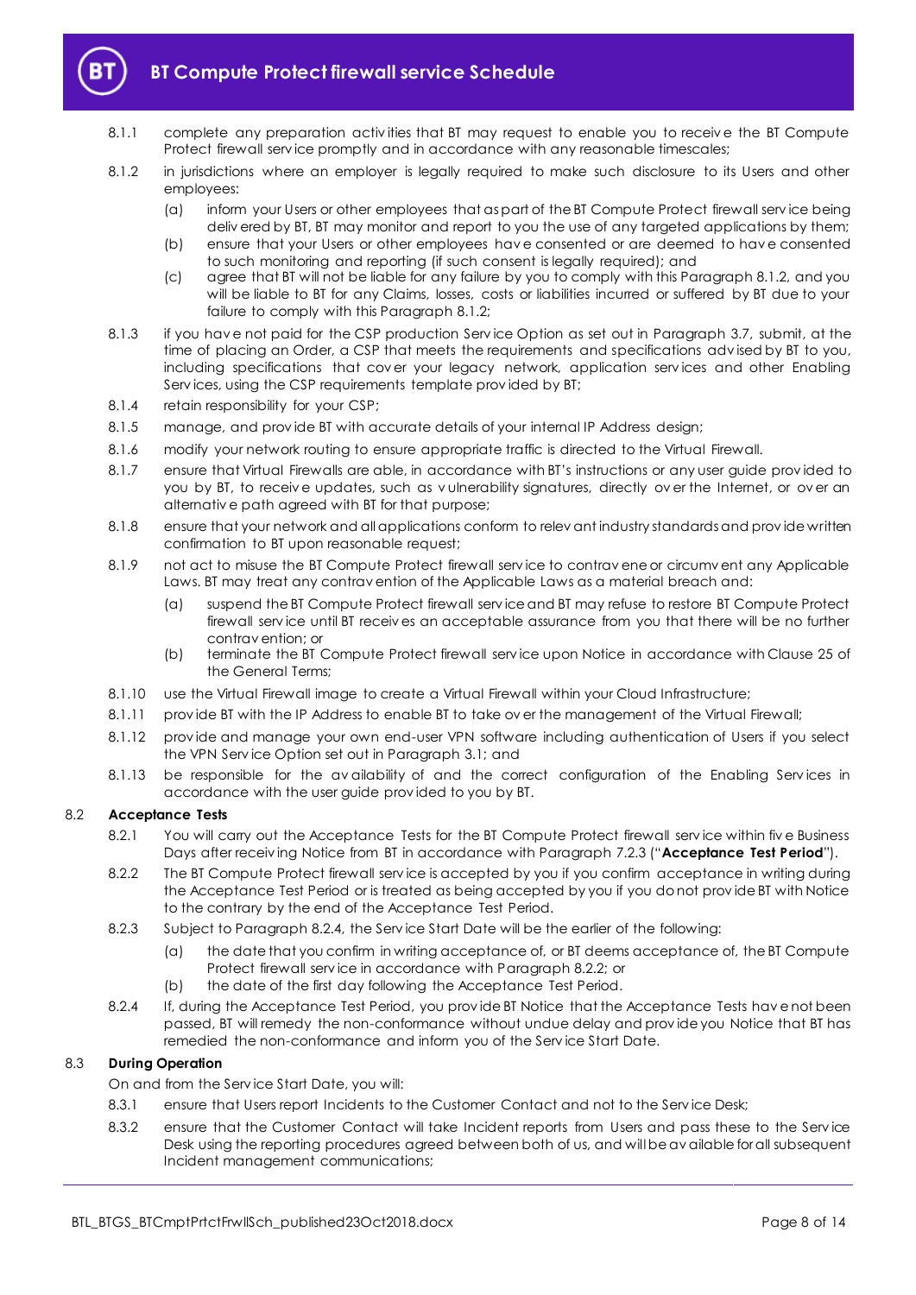

- 8.1.1 complete any preparation activities that BT may request to enable you to receive the BT Compute Protect firewall serv ice promptly and in accordance with any reasonable timescales;
- <span id="page-7-1"></span>8.1.2 in jurisdictions where an employer is legally required to make such disclosure to its Users and other employees:
	- (a) inform your Users or other employees that as part of the BT Compute Protect firewall serv ice being deliv ered by BT, BT may monitor and report to you the use of any targeted applications by them;
	- (b) ensure that your Users or other employees hav e consented or are deemed to hav e consented to such monitoring and reporting (if such consent is legally required); and
	- (c) agree that BT will not be liable for any failure by you to comply with this Paragraph [8.1.2,](#page-7-1) and you will be liable to BT for any Claims, losses, costs or liabilities incurred or suffered by BT due to your failure to comply with this Paragrap[h 8.1.2;](#page-7-1)
- 8.1.3 if you hav e not paid for the CSP production Serv ice Option as set out in Paragraph [3.7,](#page-2-3) submit, at the time of placing an Order, a CSP that meets the requirements and specifications adv ised by BT to you, including specifications that cov er your legacy network, application serv ices and other Enabling Serv ices, using the CSP requirements template prov ided by BT;
- 8.1.4 retain responsibility for your CSP;
- 8.1.5 manage, and prov ide BT with accurate details of your internal IP Address design;
- 8.1.6 modify your network routing to ensure appropriate traffic is directed to the Virtual Firewall.
- 8.1.7 ensure that Virtual Firewalls are able, in accordance with BT's instructions or any user guide prov ided to you by BT, to receiv e updates, such as v ulnerability signatures, directly ov er the Internet, or ov er an alternativ e path agreed with BT for that purpose;
- 8.1.8 ensure that your network and all applications conform to relev ant industry standards and prov ide written confirmation to BT upon reasonable request;
- 8.1.9 not act to misuse the BT Compute Protect firewall serv ice to contrav ene or circumv ent any Applicable Laws. BT may treat any contrav ention of the Applicable Laws as a material breach and:
	- (a) suspend the BT Compute Protect firewall serv ice and BT may refuse to restore BT Compute Protect firewall serv ice until BT receiv es an acceptable assurance from you that there will be no further contrav ention; or
	- (b) terminate the BT Compute Protect firewall serv ice upon Notice in accordance with Clause 25 of the General Terms;
- 8.1.10 use the Virtual Firewall image to create a Virtual Firewall within your Cloud Infrastructure;
- 8.1.11 provide BT with the IP Address to enable BT to take over the management of the Virtual Firewall;
- 8.1.12 prov ide and manage your own end-user VPN software including authentication of Users if you select the VPN Serv ice Option set out in Paragraph [3.1;](#page-1-7) and
- 8.1.13 be responsible for the av ailability of and the correct configuration of the Enabling Services in accordance with the user guide prov ided to you by BT.

#### <span id="page-7-4"></span><span id="page-7-0"></span>8.2 **Acceptance Tests**

- 8.2.1 You will carry out the Acceptance Tests for the BT Compute Protect firewall service within five Business Days after receiv ing Notice from BT in accordance with Paragrap[h 7.2.3](#page-6-5) ("**Acceptance Test Period**").
- <span id="page-7-3"></span>8.2.2 The BT Compute Protect firewall serv ice is accepted by you if you confirm acceptance in writing during the Acceptance Test Period or is treated as being accepted by you if you do not prov ide BT with Notice to the contrary by the end of the Acceptance Test Period.
- 8.2.3 Subject to Paragraph [8.2.4,](#page-7-2) the Serv ice Start Date will be the earlier of the following:
	- (a) the date that you confirm in writing acceptance of, or BT deems acceptance of, the BT Compute Protect firewall serv ice in accordance with Paragrap[h 8.2.2;](#page-7-3) or
	- (b) the date of the first day following the Acceptance Test Period.
- <span id="page-7-2"></span>8.2.4 If, during the Acceptance Test Period, you prov ide BT Notice that the Acceptance Tests hav e not been passed, BT will remedy the non-conformance without undue delay and prov ide you Notice that BT has remedied the non-conformance and inform you of the Serv ice Start Date.

#### 8.3 **During Operation**

On and from the Serv ice Start Date, you will:

- 8.3.1 ensure that Users report Incidents to the Customer Contact and not to the Serv ice Desk;
- 8.3.2 ensure that the Customer Contact will take Incident reports from Users and pass these to the Serv ice Desk using the reporting procedures agreed between both of us, and will be av ailable for all subsequent Incident management communications;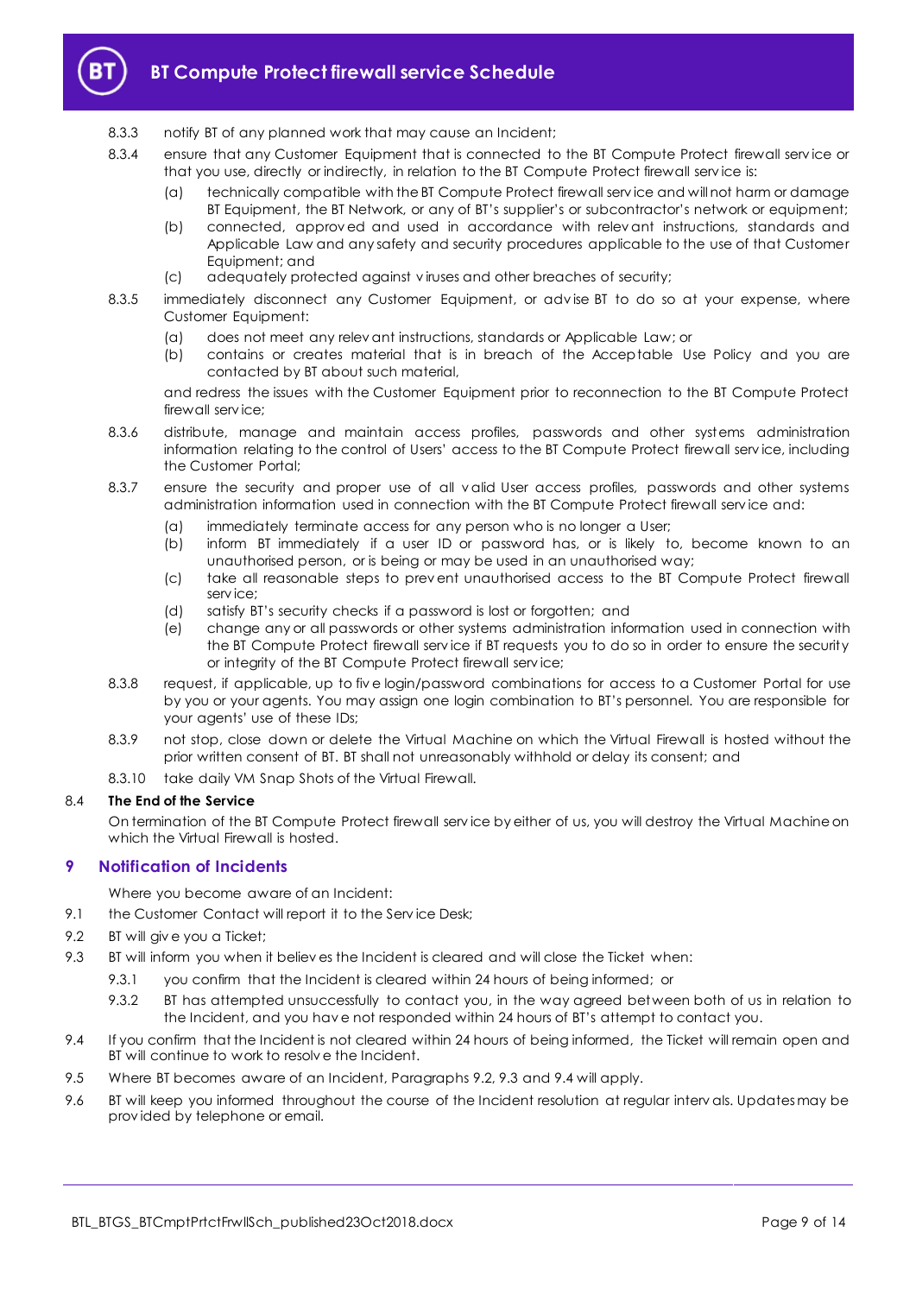

# **BT Compute Protect firewall service Schedule**

- 8.3.3 notify BT of any planned work that may cause an Incident;
- 8.3.4 ensure that any Customer Equipment that is connected to the BT Compute Protect firewall service or that you use, directly or indirectly, in relation to the BT Compute Protect firewall serv ice is:
	- (a) technically compatible with the BT Compute Protect firewall serv ice and will not harm or damage BT Equipment, the BT Network, or any of BT's supplier's or subcontractor's network or equipment;
	- (b) connected, approv ed and used in accordance with relev ant instructions, standards and Applicable Law and any safety and security procedures applicable to the use of that Customer Equipment; and
	- (c) adequately protected against v iruses and other breaches of security;
- 8.3.5 immediately disconnect any Customer Equipment, or adv ise BT to do so at your expense, where Customer Equipment:
	-
	- (a) does not meet any relev ant instructions, standards or Applicable Law; or (b) contains or creates material that is in breach of the Acceptable Us contains or creates material that is in breach of the Acceptable Use Policy and you are contacted by BT about such material,

and redress the issues with the Customer Equipment prior to reconnection to the BT Compute Protect firewall serv ice;

- 8.3.6 distribute, manage and maintain access profiles, passwords and other systems administration information relating to the control of Users' access to the BT Compute Protect firewall serv ice, including the Customer Portal;
- 8.3.7 ensure the security and proper use of all v alid User access profiles, passwords and other systems administration information used in connection with the BT Compute Protect firewall serv ice and:
	- (a) immediately terminate access for any person who is no longer a User;
	- (b) inform BT immediately if a user ID or password has, or is likely to, become known to an unauthorised person, or is being or may be used in an unauthorised way;
	- (c) take all reasonable steps to prev ent unauthorised access to the BT Compute Protect firewall serv ice;
	- (d) satisfy BT's security checks if a password is lost or forgotten; and
	- (e) change any or all passwords or other systems administration information used in connection with the BT Compute Protect firewall serv ice if BT requests you to do so in order to ensure the security or integrity of the BT Compute Protect firewall serv ice;
- 8.3.8 request, if applicable, up to fiv e login/password combinations for access to a Customer Portal for use by you or your agents. You may assign one login combination to BT's personnel. You are responsible for your agents' use of these IDs;
- 8.3.9 not stop, close down or delete the Virtual Machine on which the Virtual Firewall is hosted without the prior written consent of BT. BT shall not unreasonably withhold or delay its consent; and
- 8.3.10 take daily VM Snap Shots of the Virtual Firewall.

#### 8.4 **The End of the Service**

On termination of the BT Compute Protect firewall serv ice by either of us, you will destroy the Virtual Machine on which the Virtual Firewall is hosted.

#### <span id="page-8-0"></span>**9 Notification of Incidents**

Where you become aware of an Incident:

- 9.1 the Customer Contact will report it to the Service Desk;
- <span id="page-8-1"></span>9.2 BT will giv e you a Ticket;
- <span id="page-8-2"></span>9.3 BT will inform you when it believ es the Incident is cleared and will close the Ticket when:
	- 9.3.1 you confirm that the Incident is cleared within 24 hours of being informed; or
	- 9.3.2 BT has attempted unsuccessfully to contact you, in the way agreed between both of us in relation to the Incident, and you hav e not responded within 24 hours of BT's attempt to contact you.
- <span id="page-8-3"></span>9.4 If you confirm that the Incident is not cleared within 24 hours of being informed, the Ticket will remain open and BT will continue to work to resolv e the Incident.
- 9.5 Where BT becomes aware of an Incident, Paragraphs [9.2,](#page-8-1) [9.3](#page-8-2) and [9.4](#page-8-3) will apply.
- 9.6 BT will keep you informed throughout the course of the Incident resolution at regular interv als. Updates may be prov ided by telephone or email.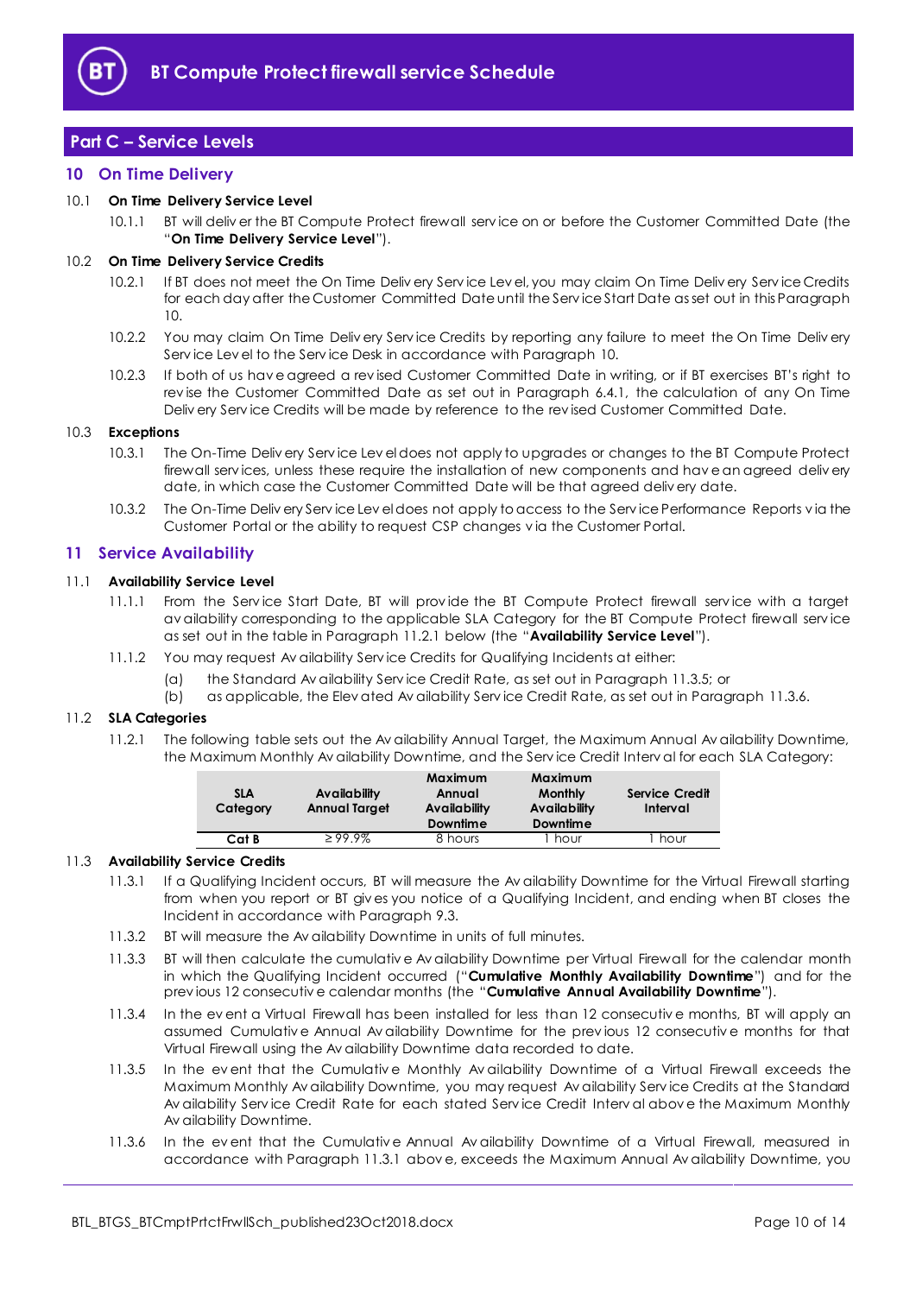

# <span id="page-9-0"></span>**Part C – Service Levels**

#### <span id="page-9-1"></span>**10 On Time Delivery**

#### <span id="page-9-9"></span>10.1 **On Time Delivery Service Level**

10.1.1 BT will deliv er the BT Compute Protect firewall serv ice on or before the Customer Committed Date (the "**On Time Delivery Service Level**").

#### 10.2 **On Time Delivery Service Credits**

- 10.2.1 If BT does not meet the On Time Deliv ery Serv ice Lev el, you may claim On Time Deliv ery Serv ice Credits for each day after the Customer Committed Date until the Serv ice Start Date as set out in this Paragraph [10.](#page-9-1)
- 10.2.2 You may claim On Time Deliv ery Serv ice Credits by reporting any failure to meet the On Time Deliv ery Serv ice Lev el to the Serv ice Desk in accordance with Paragrap[h 10.](#page-9-1)
- 10.2.3 If both of us hav e agreed a rev ised Customer Committed Date in writing, or if BT exercises BT's right to rev ise the Customer Committed Date as set out in Paragraph [6.4.1,](#page-3-7) the calculation of any On Time Deliv ery Serv ice Credits will be made by reference to the rev ised Customer Committed Date.

#### 10.3 **Exceptions**

- 10.3.1 The On-Time Deliv ery Serv ice Lev el does not apply to upgrades or changes to the BT Compute Protect firewall serv ices, unless these require the installation of new components and hav e an agreed deliv ery date, in which case the Customer Committed Date will be that agreed deliv ery date.
- 10.3.2 The On-Time Deliv ery Serv ice Lev el does not apply to access to the Serv ice Performance Reports v ia the Customer Portal or the ability to request CSP changes v ia the Customer Portal.

#### <span id="page-9-2"></span>**11 Service Availability**

#### <span id="page-9-7"></span>11.1 **Availability Service Level**

- 11.1.1 From the Service Start Date, BT will provide the BT Compute Protect firewall service with a target av ailability corresponding to the applicable SLA Category for the BT Compute Protect firewall serv ice as set out in the table in Paragraph [11.2.1](#page-9-3) below (the "**Availability Service Level**").
- 11.1.2 You may request Av ailability Serv ice Credits for Qualifying Incidents at either:
	- (a) the Standard Av ailability Serv ice Credit Rate, as set out in Paragraph [11.3.5;](#page-9-4) or
	- (b) as applicable, the Elev ated Av ailability Serv ice Credit Rate, as set out in Paragraph [11.3.6.](#page-9-5)

#### <span id="page-9-3"></span>11.2 **SLA Categories**

11.2.1 The following table sets out the Av ailability Annual Target, the Maximum Annual Av ailability Downtime, the Maximum Monthly Av ailability Downtime, and the Serv ice Credit Interv al for each SLA Category:

| <b>SLA</b><br>Category | Availability<br><b>Annual Target</b> | Maximum<br>Annual<br>Availability<br><b>Downtime</b> | Maximum<br><b>Monthly</b><br>Availability<br><b>Downtime</b> | <b>Service Credit</b><br>Interval |
|------------------------|--------------------------------------|------------------------------------------------------|--------------------------------------------------------------|-----------------------------------|
| Cat B                  | $\geq 99.9\%$                        | 8 hours                                              | hour                                                         | hour                              |

#### <span id="page-9-6"></span>11.3 **Availability Service Credits**

- 11.3.1 If a Qualifying Incident occurs, BT will measure the Av ailability Downtime for the Virtual Firewall starting from when you report or BT giv es you notice of a Qualifying Incident, and ending when BT closes the Incident in accordance with Paragrap[h 9.3.](#page-8-2)
- 11.3.2 BT will measure the Av ailability Downtime in units of full minutes.
- <span id="page-9-8"></span>11.3.3 BT will then calculate the cumulativ e Av ailability Downtime per Virtual Firewall for the calendar month in which the Qualifying Incident occurred ("**Cumulative Monthly Availability Downtime**") and for the prev ious 12 consecutiv e calendar months (the "**Cumulative Annual Availability Downtime**").
- 11.3.4 In the ev ent a Virtual Firewall has been installed for less than 12 consecutiv e months, BT will apply an assumed Cumulativ e Annual Av ailability Downtime for the prev ious 12 consecutiv e months for that Virtual Firewall using the Av ailability Downtime data recorded to date.
- <span id="page-9-4"></span>11.3.5 In the event that the Cumulative Monthly Availability Downtime of a Virtual Firewall exceeds the Maximum Monthly Av ailability Downtime, you may request Av ailability Serv ice Credits at the Standard Av ailability Serv ice Credit Rate for each stated Serv ice Credit Interv al abov e the Maximum Monthly Av ailability Downtime.
- <span id="page-9-5"></span>11.3.6 In the ev ent that the Cumulativ e Annual Av ailability Downtime of a Virtual Firewall, measured in accordance with Paragraph [11.3.1](#page-9-6) abov e, exceeds the Maximum Annual Av ailability Downtime, you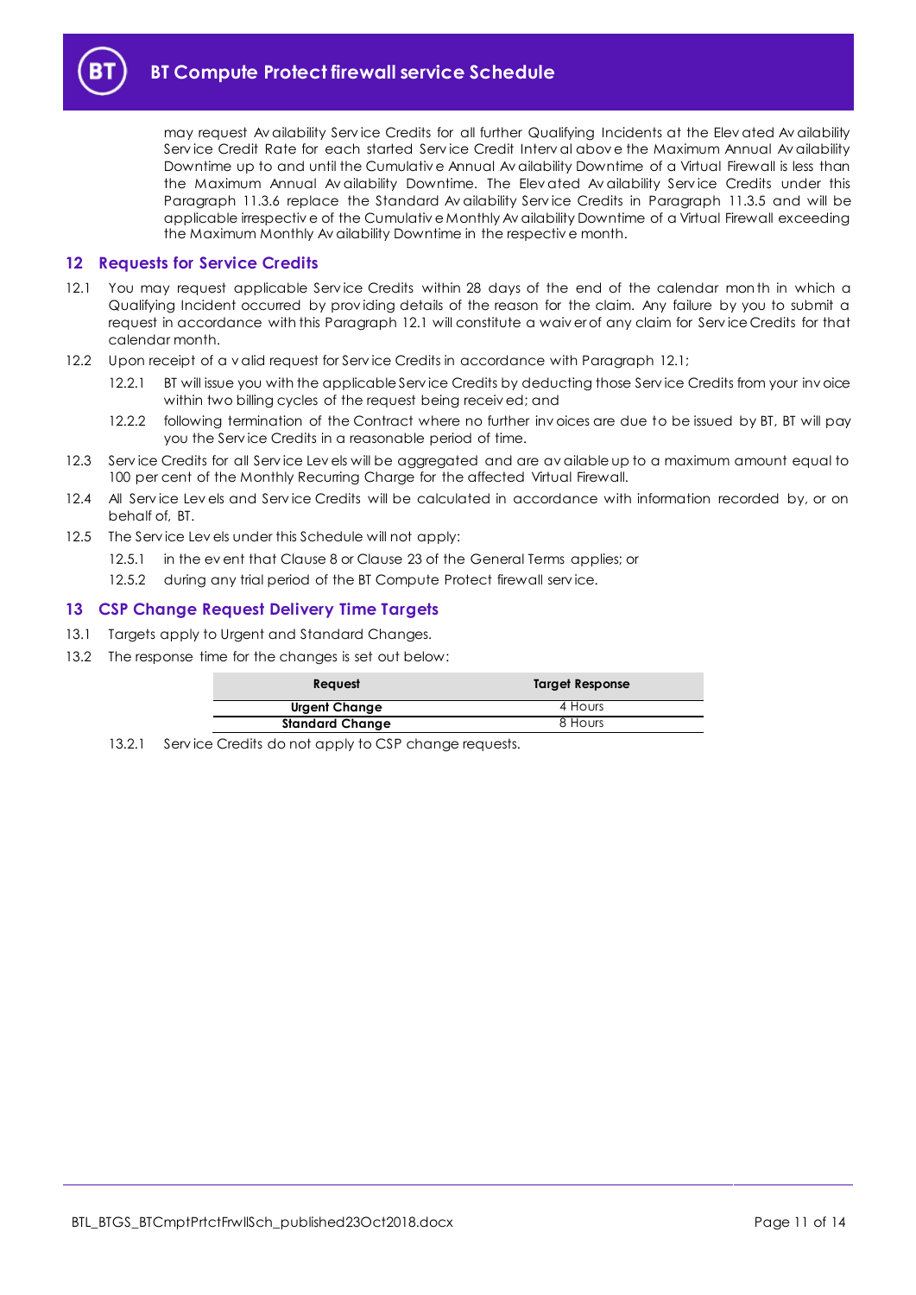

may request Av ailability Serv ice Credits for all further Qualifying Incidents at the Elev ated Av ailability Serv ice Credit Rate for each started Serv ice Credit Interv al abov e the Maximum Annual Av ailability Downtime up to and until the Cumulativ e Annual Av ailability Downtime of a Virtual Firewall is less than the Maximum Annual Av ailability Downtime. The Elev ated Av ailability Serv ice Credits under this Paragraph [11.3.6](#page-9-5) replace the Standard Av ailability Serv ice Credits in Paragraph [11.3.5](#page-9-4) and will be applicable irrespectiv e of the Cumulativ e Monthly Av ailability Downtime of a Virtual Firewall exceeding the Maximum Monthly Av ailability Downtime in the respectiv e month.

#### <span id="page-10-0"></span>**12 Requests for Service Credits**

- <span id="page-10-2"></span>12.1 You may request applicable Serv ice Credits within 28 days of the end of the calendar month in which a Qualifying Incident occurred by prov iding details of the reason for the claim. Any failure by you to submit a request in accordance with this Paragraph [12.1](#page-10-2) will constitute a waiv er of any claim for Serv ice Credits for that calendar month.
- 12.2 Upon receipt of a v alid request for Service Credits in accordance with Paragrap[h 12.1;](#page-10-2)
	- 12.2.1 BT will issue you with the applicable Serv ice Credits by deducting those Serv ice Credits from your inv oice within two billing cycles of the request being receiv ed; and
	- 12.2.2 following termination of the Contract where no further inv oices are due to be issued by BT, BT will pay you the Serv ice Credits in a reasonable period of time.
- 12.3 Service Credits for all Service Lev els will be aggregated and are av ailable up to a maximum amount equal to 100 per cent of the Monthly Recurring Charge for the affected Virtual Firewall.
- 12.4 All Service Levels and Service Credits will be calculated in accordance with information recorded by, or on behalf of, BT.
- 12.5 The Serv ice Lev els under this Schedule will not apply:
	- 12.5.1 in the ev ent that Clause 8 or Clause 23 of the General Terms applies; or
	- 12.5.2 during any trial period of the BT Compute Protect firewall service.

#### <span id="page-10-1"></span>**13 CSP Change Request Delivery Time Targets**

- 13.1 Targets apply to Urgent and Standard Changes.
- 13.2 The response time for the changes is set out below:

| <b>Reauest</b>         | Target Response |
|------------------------|-----------------|
| Urgent Change          | 4 Hours         |
| <b>Standard Change</b> | 8 Hours         |

13.2.1 Service Credits do not apply to CSP change requests.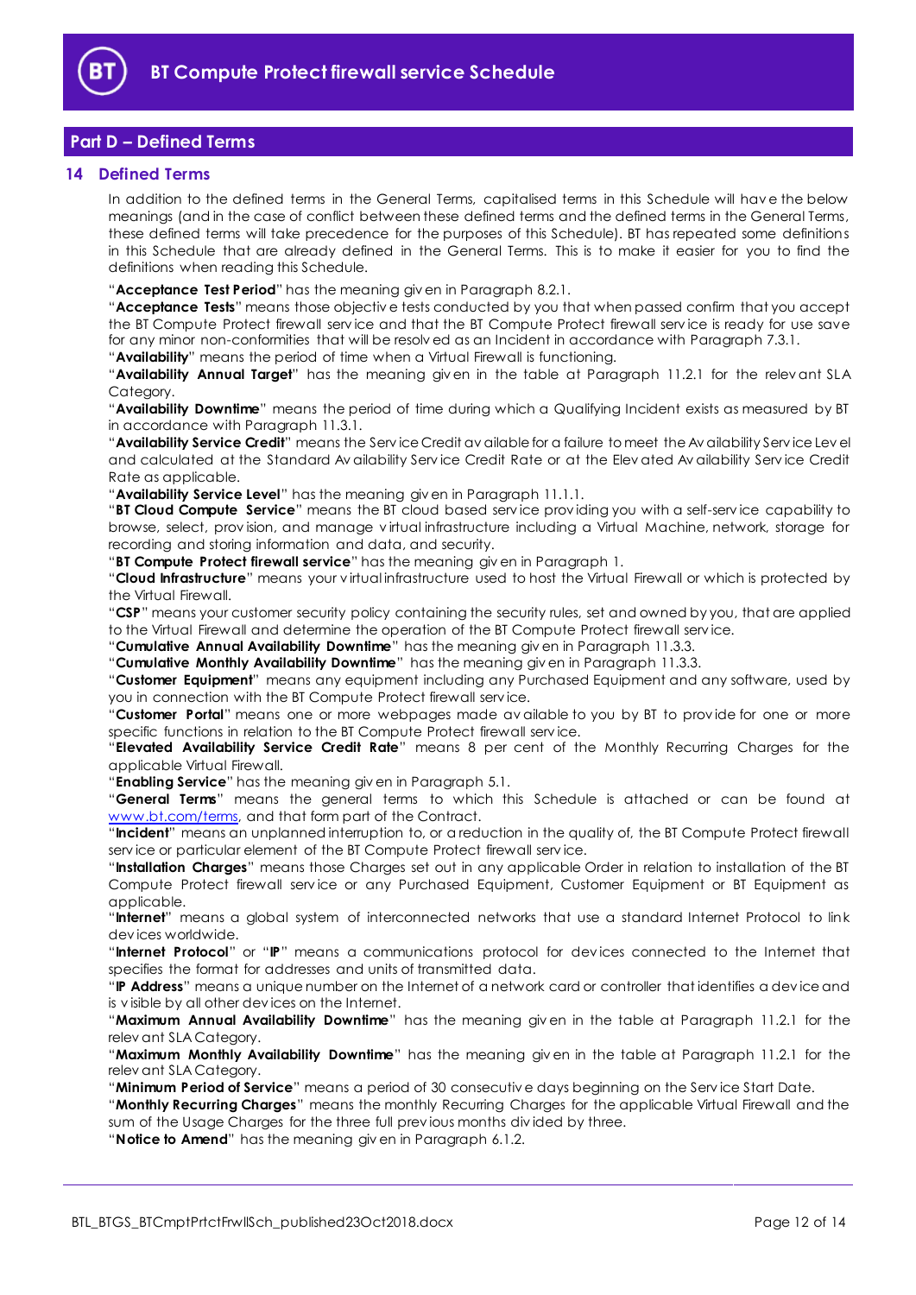

# <span id="page-11-0"></span>**Part D – Defined Terms**

#### <span id="page-11-1"></span>**14 Defined Terms**

In addition to the defined terms in the General Terms, capitalised terms in this Schedule will hav e the below meanings (and in the case of conflict between these defined terms and the defined terms in the General Terms, these defined terms will take precedence for the purposes of this Schedule). BT has repeated some definitions in this Schedule that are already defined in the General Terms. This is to make it easier for you to find the definitions when reading this Schedule.

"**Acceptance Test Period**" has the meaning giv en in Paragrap[h 8.2.1.](#page-7-4)

"**Acceptance Tests**" means those objectiv e tests conducted by you that when passed confirm that you accept the BT Compute Protect firewall serv ice and that the BT Compute Protect firewall serv ice is ready for use save for any minor non-conformities that will be resolv ed as an Incident in accordance with Paragrap[h 7.3.1.](#page-6-6)

"**Availability**" means the period of time when a Virtual Firewall is functioning.

"**Availability Annual Target**" has the meaning giv en in the table at Paragraph [11.2.1](#page-9-3) for the relev ant SLA Category.

"**Availability Downtime**" means the period of time during which a Qualifying Incident exists as measured by BT in accordance with Paragrap[h 11.3.1.](#page-9-6) 

"**Availability Service Credit**" means the Serv ice Credit av ailable for a failure to meet the Av ailability Serv ice Lev el and calculated at the Standard Av ailability Serv ice Credit Rate or at the Elev ated Av ailability Serv ice Credit Rate as applicable.

"**Availability Service Level**" has the meaning giv en in Paragrap[h 11.1.1.](#page-9-7)

"**BT Cloud Compute Service**" means the BT cloud based serv ice prov iding you with a self-serv ice capability to browse, select, prov ision, and manage v irtual infrastructure including a Virtual Machine, network, storage for recording and storing information and data, and security.

"**BT Compute Protect firewall service**" has the meaning giv en in Paragrap[h 1.](#page-1-3)

"**Cloud Infrastructure**" means your v irtual infrastructure used to host the Virtual Firewall or which is protected by the Virtual Firewall.

"**CSP**" means your customer security policy containing the security rules, set and owned by you, that are applied to the Virtual Firewall and determine the operation of the BT Compute Protect firewall serv ice.

"**Cumulative Annual Availability Downtime**" has the meaning giv en in Paragraph [11.3.3.](#page-9-8)

"**Cumulative Monthly Availability Downtime**" has the meaning giv en in Paragrap[h 11.3.3.](#page-9-8)

"**Customer Equipment**" means any equipment including any Purchased Equipment and any software, used by you in connection with the BT Compute Protect firewall serv ice.

"**Customer Portal**" means one or more webpages made av ailable to you by BT to prov ide for one or more specific functions in relation to the BT Compute Protect firewall serv ice.

"**Elevated Availability Service Credit Rate**" means 8 per cent of the Monthly Recurring Charges for the applicable Virtual Firewall.

"**Enabling Service**" has the meaning giv en in Paragrap[h 5.1.](#page-3-8)

"**General Terms**" means the general terms to which this Schedule is attached or can be found at [www.bt.com/terms,](http://www.bt.com/terms) and that form part of the Contract.

"**Incident**" means an unplanned interruption to, or a reduction in the quality of, the BT Compute Protect firewall serv ice or particular element of the BT Compute Protect firewall serv ice.

"**Installation Charges**" means those Charges set out in any applicable Order in relation to installation of the BT Compute Protect firewall service or any Purchased Equipment, Customer Equipment or BT Equipment as applicable.

"**Internet**" means a global system of interconnected networks that use a standard Internet Protocol to link dev ices worldwide.

"**Internet Protocol**" or "**IP**" means a communications protocol for dev ices connected to the Internet that specifies the format for addresses and units of transmitted data.

"**IP Address**" means a unique number on the Internet of a network card or controller that identifies a dev ice and is v isible by all other dev ices on the Internet.

"**Maximum Annual Availability Downtime**" has the meaning giv en in the table at Paragraph [11.2.1](#page-9-3) for the relev ant SLA Category.

"**Maximum Monthly Availability Downtime**" has the meaning giv en in the table at Paragraph [11.2.1](#page-9-3) for the relev ant SLA Category.

"**Minimum Period of Service**" means a period of 30 consecutiv e days beginning on the Serv ice Start Date.

"**Monthly Recurring Charges**" means the monthly Recurring Charges for the applicable Virtual Firewall and the sum of the Usage Charges for the three full prev ious months div ided by three.

"**Notice to Amend**" has the meaning giv en in Paragraph [6.1.2.](#page-3-4)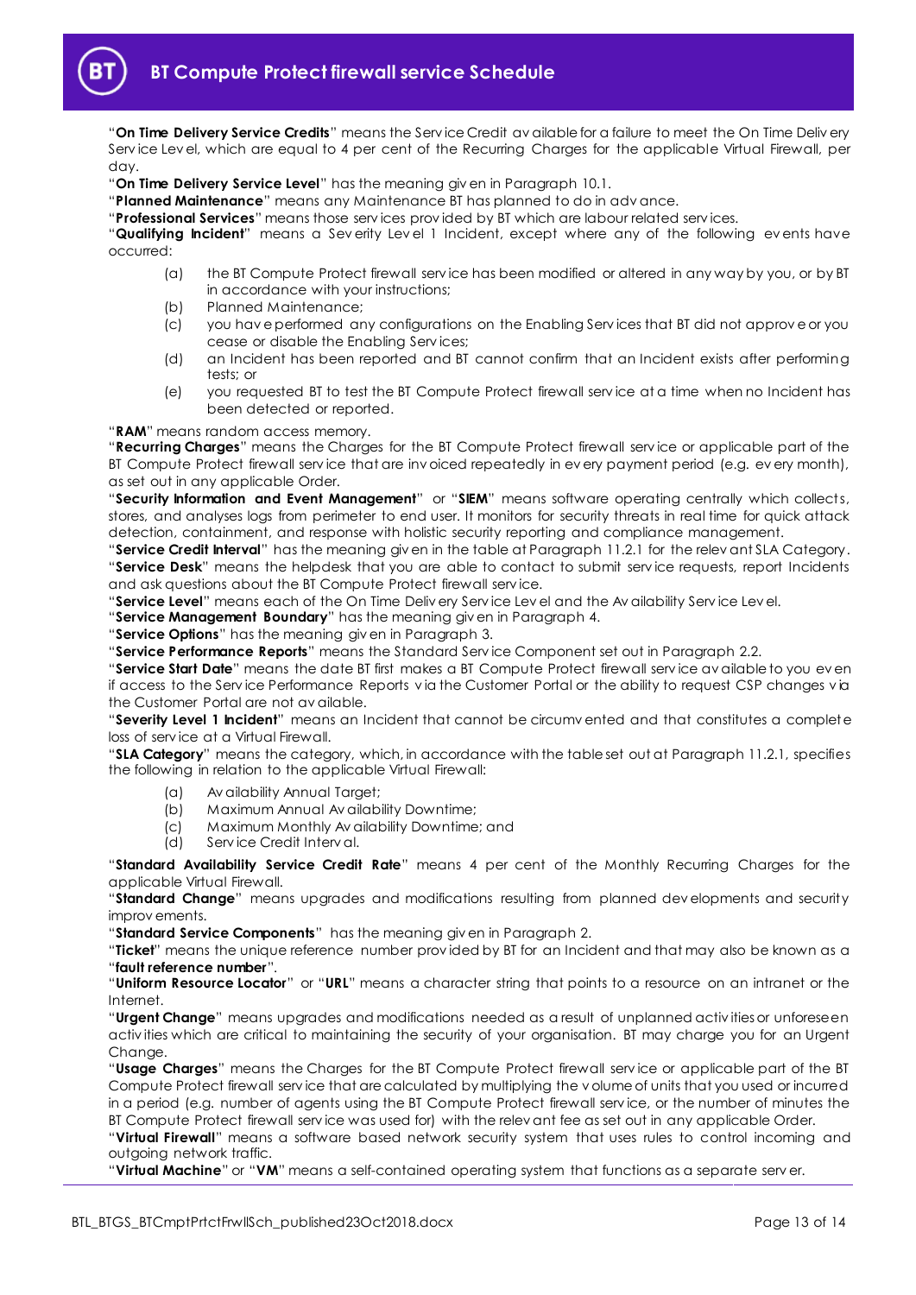"**On Time Delivery Service Credits**" means the Serv ice Credit av ailable for a failure to meet the On Time Deliv ery Service Level, which are equal to 4 per cent of the Recurring Charges for the applicable Virtual Firewall, per day.

"**On Time Delivery Service Level**" has the meaning giv en in Paragrap[h 10.1.](#page-9-9)

"**Planned Maintenance**" means any Maintenance BT has planned to do in adv ance.

"**Professional Services**" means those serv ices prov ided by BT which are labour related serv ices.

"**Qualifying Incident**" means a Sev erity Lev el 1 Incident, except where any of the following ev ents have occurred:

- (a) the BT Compute Protect firewall serv ice has been modified or altered in any way by you, or by BT in accordance with your instructions;
- (b) Planned Maintenance;
- (c) you hav e performed any configurations on the Enabling Serv ices that BT did not approv e or you cease or disable the Enabling Serv ices;
- (d) an Incident has been reported and BT cannot confirm that an Incident exists after performing tests; or
- (e) you requested BT to test the BT Compute Protect firewall serv ice at a time when no Incident has been detected or reported.

"**RAM**" means random access memory.

"**Recurring Charges**" means the Charges for the BT Compute Protect firewall serv ice or applicable part of the BT Compute Protect firewall service that are invoiced repeatedly in every payment period (e.g. every month), as set out in any applicable Order.

"**Security Information and Event Management**" or "**SIEM**" means software operating centrally which collects, stores, and analyses logs from perimeter to end user. It monitors for security threats in real time for quick attack detection, containment, and response with holistic security reporting and compliance management.

"**Service Credit Interval**" has the meaning giv en in the table at Paragraph [11.2.1](#page-9-3) for the relev ant SLA Category. "**Service Desk**" means the helpdesk that you are able to contact to submit serv ice requests, report Incidents and ask questions about the BT Compute Protect firewall serv ice.

"**Service Level**" means each of the On Time Deliv ery Serv ice Lev el and the Av ailability Serv ice Lev el.

"**Service Management Boundary**" has the meaning giv en in Paragraph [4.](#page-2-0)

"**Service Options**" has the meaning giv en in Paragrap[h 3.](#page-1-5)

"**Service Performance Reports**" means the Standard Serv ice Component set out in Paragraph [2.2.](#page-1-6)

"**Service Start Date**" means the date BT first makes a BT Compute Protect firewall serv ice av ailable to you ev en if access to the Serv ice Performance Reports v ia the Customer Portal or the ability to request CSP changes v ia the Customer Portal are not av ailable.

"**Severity Level 1 Incident**" means an Incident that cannot be circumv ented and that constitutes a complete loss of serv ice at a Virtual Firewall.

"**SLA Category**" means the category, which, in accordance with the table set out at Paragraph [11.2.1,](#page-9-3) specifies the following in relation to the applicable Virtual Firewall:

- (a) Av ailability Annual Target;
- (b) Maximum Annual Av ailability Downtime;
- (c) Maximum Monthly Av ailability Downtime; and
- (d) Serv ice Credit Interv al.

"**Standard Availability Service Credit Rate**" means 4 per cent of the Monthly Recurring Charges for the applicable Virtual Firewall.

"**Standard Change**" means upgrades and modifications resulting from planned dev elopments and security improv ements.

"**Standard Service Components**" has the meaning giv en in Paragraph [2.](#page-1-4)

"**Ticket**" means the unique reference number prov ided by BT for an Incident and that may also be known as a "**fault reference number**".

"**Uniform Resource Locator**" or "**URL**" means a character string that points to a resource on an intranet or the Internet.

"**Urgent Change**" means upgrades and modifications needed as a result of unplanned activ ities or unforeseen activ ities which are critical to maintaining the security of your organisation. BT may charge you for an Urgent Change.

"**Usage Charges**" means the Charges for the BT Compute Protect firewall serv ice or applicable part of the BT Compute Protect firewall serv ice that are calculated by multiplying the v olume of units that you used or incurred in a period (e.g. number of agents using the BT Compute Protect firewall serv ice, or the number of minutes the BT Compute Protect firewall serv ice was used for) with the relev ant fee as set out in any applicable Order.

"**Virtual Firewall**" means a software based network security system that uses rules to control incoming and outgoing network traffic.

"**Virtual Machine**" or "**VM**" means a self-contained operating system that functions as a separate serv er.